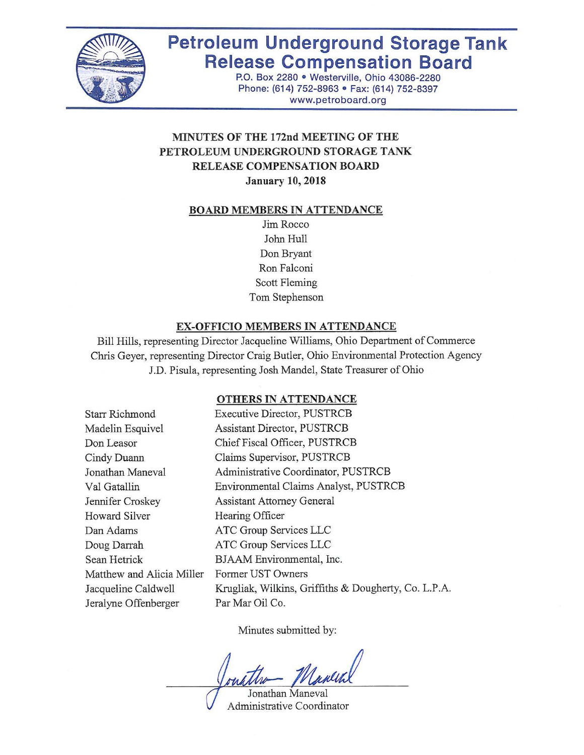

# **Petroleum Underground Storage Tank Release Compensation Board**

P.O. Box 2280 • Westerville, Ohio 43086-2280 Phone: (614) 752-8963 • Fax: (614) 752-8397 www.petroboard.org

# **MINUTES OF THE 172nd MEETING OF THE PETROLEUM UNDERGROUND STORAGE TANK RELEASE COMPENSATION BOARD January 10, 2018**

#### **BOARD MEMBERS IN ATTENDANCE**

Jim Rocco John Hull Don Bryant Ron Falconi Scott Fleming Tom Stephenson

#### **EX-OFFICIO MEMBERS IN ATTENDANCE**

Bill Hills, representing Director Jacqueline Williams, Ohio Department of Commerce Chris Geyer, representing Director Craig Butler, Ohio Environmental Protection Agency J.D. Pisula, representing Josh Mandel, State Treasurer of Ohio

#### **OTHERS IN ATTENDANCE**

| <b>Starr Richmond</b>     | <b>Executive Director, PUSTRCB</b>                   |
|---------------------------|------------------------------------------------------|
| Madelin Esquivel          | <b>Assistant Director, PUSTRCB</b>                   |
| Don Leasor                | Chief Fiscal Officer, PUSTRCB                        |
| Cindy Duann               | Claims Supervisor, PUSTRCB                           |
| Jonathan Maneval          | Administrative Coordinator, PUSTRCB                  |
| Val Gatallin              | Environmental Claims Analyst, PUSTRCB                |
| Jennifer Croskey          | <b>Assistant Attorney General</b>                    |
| Howard Silver             | Hearing Officer                                      |
| Dan Adams                 | ATC Group Services LLC                               |
| Doug Darrah               | ATC Group Services LLC                               |
| Sean Hetrick              | BJAAM Environmental, Inc.                            |
| Matthew and Alicia Miller | Former UST Owners                                    |
| Jacqueline Caldwell       | Krugliak, Wilkins, Griffiths & Dougherty, Co. L.P.A. |
| Jeralyne Offenberger      | Par Mar Oil Co.                                      |
|                           |                                                      |

Minutes submitted by:

Manch

Jonathan Maneval Administrative Coordinator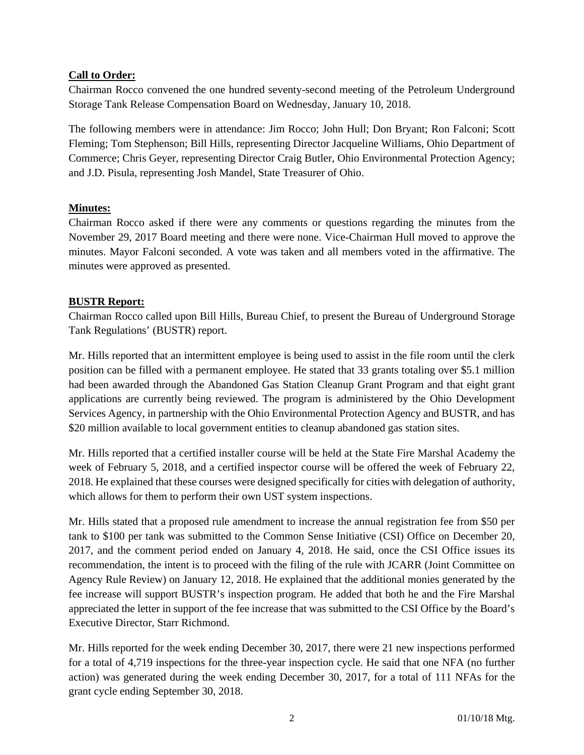## **Call to Order:**

Chairman Rocco convened the one hundred seventy-second meeting of the Petroleum Underground Storage Tank Release Compensation Board on Wednesday, January 10, 2018.

The following members were in attendance: Jim Rocco; John Hull; Don Bryant; Ron Falconi; Scott Fleming; Tom Stephenson; Bill Hills, representing Director Jacqueline Williams, Ohio Department of Commerce; Chris Geyer, representing Director Craig Butler, Ohio Environmental Protection Agency; and J.D. Pisula, representing Josh Mandel, State Treasurer of Ohio.

#### **Minutes:**

Chairman Rocco asked if there were any comments or questions regarding the minutes from the November 29, 2017 Board meeting and there were none. Vice-Chairman Hull moved to approve the minutes. Mayor Falconi seconded. A vote was taken and all members voted in the affirmative. The minutes were approved as presented.

## **BUSTR Report:**

Chairman Rocco called upon Bill Hills, Bureau Chief, to present the Bureau of Underground Storage Tank Regulations' (BUSTR) report.

Mr. Hills reported that an intermittent employee is being used to assist in the file room until the clerk position can be filled with a permanent employee. He stated that 33 grants totaling over \$5.1 million had been awarded through the Abandoned Gas Station Cleanup Grant Program and that eight grant applications are currently being reviewed. The program is administered by the Ohio Development Services Agency, in partnership with the Ohio Environmental Protection Agency and BUSTR, and has \$20 million available to local government entities to cleanup abandoned gas station sites.

Mr. Hills reported that a certified installer course will be held at the State Fire Marshal Academy the week of February 5, 2018, and a certified inspector course will be offered the week of February 22, 2018. He explained that these courses were designed specifically for cities with delegation of authority, which allows for them to perform their own UST system inspections.

Mr. Hills stated that a proposed rule amendment to increase the annual registration fee from \$50 per tank to \$100 per tank was submitted to the Common Sense Initiative (CSI) Office on December 20, 2017, and the comment period ended on January 4, 2018. He said, once the CSI Office issues its recommendation, the intent is to proceed with the filing of the rule with JCARR (Joint Committee on Agency Rule Review) on January 12, 2018. He explained that the additional monies generated by the fee increase will support BUSTR's inspection program. He added that both he and the Fire Marshal appreciated the letter in support of the fee increase that was submitted to the CSI Office by the Board's Executive Director, Starr Richmond.

Mr. Hills reported for the week ending December 30, 2017, there were 21 new inspections performed for a total of 4,719 inspections for the three-year inspection cycle. He said that one NFA (no further action) was generated during the week ending December 30, 2017, for a total of 111 NFAs for the grant cycle ending September 30, 2018.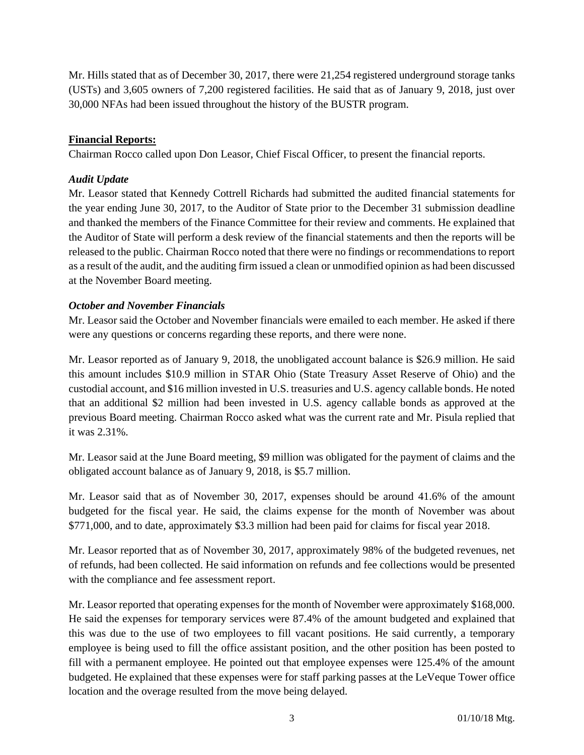Mr. Hills stated that as of December 30, 2017, there were 21,254 registered underground storage tanks (USTs) and 3,605 owners of 7,200 registered facilities. He said that as of January 9, 2018, just over 30,000 NFAs had been issued throughout the history of the BUSTR program.

## **Financial Reports:**

Chairman Rocco called upon Don Leasor, Chief Fiscal Officer, to present the financial reports.

#### *Audit Update*

Mr. Leasor stated that Kennedy Cottrell Richards had submitted the audited financial statements for the year ending June 30, 2017, to the Auditor of State prior to the December 31 submission deadline and thanked the members of the Finance Committee for their review and comments. He explained that the Auditor of State will perform a desk review of the financial statements and then the reports will be released to the public. Chairman Rocco noted that there were no findings or recommendations to report as a result of the audit, and the auditing firm issued a clean or unmodified opinion as had been discussed at the November Board meeting.

## *October and November Financials*

Mr. Leasor said the October and November financials were emailed to each member. He asked if there were any questions or concerns regarding these reports, and there were none.

Mr. Leasor reported as of January 9, 2018, the unobligated account balance is \$26.9 million. He said this amount includes \$10.9 million in STAR Ohio (State Treasury Asset Reserve of Ohio) and the custodial account, and \$16 million invested in U.S. treasuries and U.S. agency callable bonds. He noted that an additional \$2 million had been invested in U.S. agency callable bonds as approved at the previous Board meeting. Chairman Rocco asked what was the current rate and Mr. Pisula replied that it was 2.31%.

Mr. Leasor said at the June Board meeting, \$9 million was obligated for the payment of claims and the obligated account balance as of January 9, 2018, is \$5.7 million.

Mr. Leasor said that as of November 30, 2017, expenses should be around 41.6% of the amount budgeted for the fiscal year. He said, the claims expense for the month of November was about \$771,000, and to date, approximately \$3.3 million had been paid for claims for fiscal year 2018.

Mr. Leasor reported that as of November 30, 2017, approximately 98% of the budgeted revenues, net of refunds, had been collected. He said information on refunds and fee collections would be presented with the compliance and fee assessment report.

Mr. Leasor reported that operating expenses for the month of November were approximately \$168,000. He said the expenses for temporary services were 87.4% of the amount budgeted and explained that this was due to the use of two employees to fill vacant positions. He said currently, a temporary employee is being used to fill the office assistant position, and the other position has been posted to fill with a permanent employee. He pointed out that employee expenses were 125.4% of the amount budgeted. He explained that these expenses were for staff parking passes at the LeVeque Tower office location and the overage resulted from the move being delayed.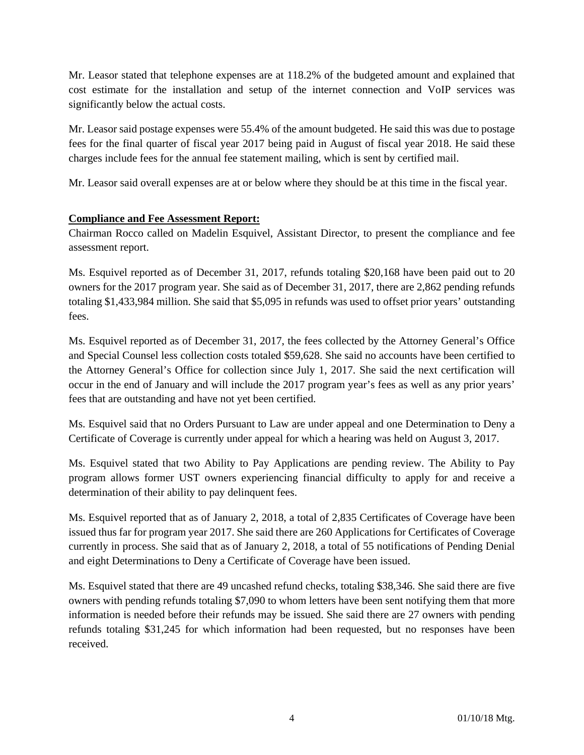Mr. Leasor stated that telephone expenses are at 118.2% of the budgeted amount and explained that cost estimate for the installation and setup of the internet connection and VoIP services was significantly below the actual costs.

Mr. Leasor said postage expenses were 55.4% of the amount budgeted. He said this was due to postage fees for the final quarter of fiscal year 2017 being paid in August of fiscal year 2018. He said these charges include fees for the annual fee statement mailing, which is sent by certified mail.

Mr. Leasor said overall expenses are at or below where they should be at this time in the fiscal year.

## **Compliance and Fee Assessment Report:**

Chairman Rocco called on Madelin Esquivel, Assistant Director, to present the compliance and fee assessment report.

Ms. Esquivel reported as of December 31, 2017, refunds totaling \$20,168 have been paid out to 20 owners for the 2017 program year. She said as of December 31, 2017, there are 2,862 pending refunds totaling \$1,433,984 million. She said that \$5,095 in refunds was used to offset prior years' outstanding fees.

Ms. Esquivel reported as of December 31, 2017, the fees collected by the Attorney General's Office and Special Counsel less collection costs totaled \$59,628. She said no accounts have been certified to the Attorney General's Office for collection since July 1, 2017. She said the next certification will occur in the end of January and will include the 2017 program year's fees as well as any prior years' fees that are outstanding and have not yet been certified.

Ms. Esquivel said that no Orders Pursuant to Law are under appeal and one Determination to Deny a Certificate of Coverage is currently under appeal for which a hearing was held on August 3, 2017.

Ms. Esquivel stated that two Ability to Pay Applications are pending review. The Ability to Pay program allows former UST owners experiencing financial difficulty to apply for and receive a determination of their ability to pay delinquent fees.

Ms. Esquivel reported that as of January 2, 2018, a total of 2,835 Certificates of Coverage have been issued thus far for program year 2017. She said there are 260 Applications for Certificates of Coverage currently in process. She said that as of January 2, 2018, a total of 55 notifications of Pending Denial and eight Determinations to Deny a Certificate of Coverage have been issued.

Ms. Esquivel stated that there are 49 uncashed refund checks, totaling \$38,346. She said there are five owners with pending refunds totaling \$7,090 to whom letters have been sent notifying them that more information is needed before their refunds may be issued. She said there are 27 owners with pending refunds totaling \$31,245 for which information had been requested, but no responses have been received.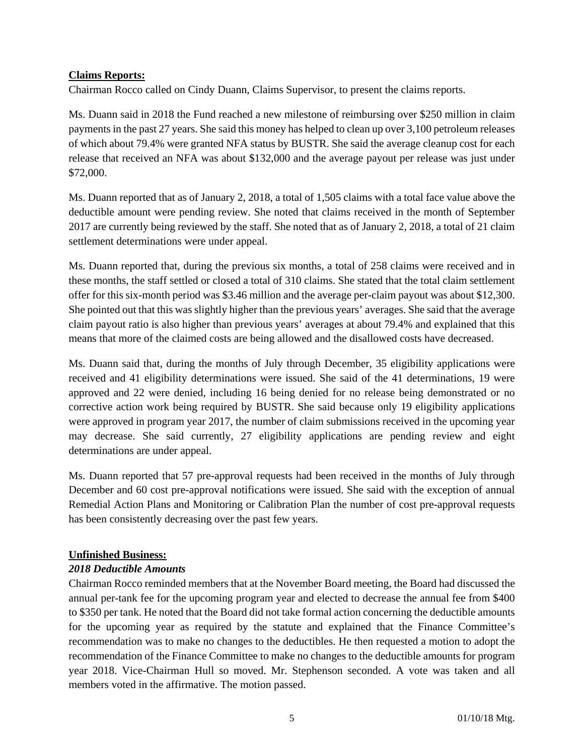#### **Claims Reports:**

Chairman Rocco called on Cindy Duann, Claims Supervisor, to present the claims reports.

Ms. Duann said in 2018 the Fund reached a new milestone of reimbursing over \$250 million in claim payments in the past 27 years. She said this money has helped to clean up over 3,100 petroleum releases of which about 79.4% were granted NFA status by BUSTR. She said the average cleanup cost for each release that received an NFA was about \$132,000 and the average payout per release was just under \$72,000.

Ms. Duann reported that as of January 2, 2018, a total of 1,505 claims with a total face value above the deductible amount were pending review. She noted that claims received in the month of September 2017 are currently being reviewed by the staff. She noted that as of January 2, 2018, a total of 21 claim settlement determinations were under appeal.

Ms. Duann reported that, during the previous six months, a total of 258 claims were received and in these months, the staff settled or closed a total of 310 claims. She stated that the total claim settlement offer for this six-month period was \$3.46 million and the average per-claim payout was about \$12,300. She pointed out that this was slightly higher than the previous years' averages. She said that the average claim payout ratio is also higher than previous years' averages at about 79.4% and explained that this means that more of the claimed costs are being allowed and the disallowed costs have decreased.

Ms. Duann said that, during the months of July through December, 35 eligibility applications were received and 41 eligibility determinations were issued. She said of the 41 determinations, 19 were approved and 22 were denied, including 16 being denied for no release being demonstrated or no corrective action work being required by BUSTR. She said because only 19 eligibility applications were approved in program year 2017, the number of claim submissions received in the upcoming year may decrease. She said currently, 27 eligibility applications are pending review and eight determinations are under appeal.

Ms. Duann reported that 57 pre-approval requests had been received in the months of July through December and 60 cost pre-approval notifications were issued. She said with the exception of annual Remedial Action Plans and Monitoring or Calibration Plan the number of cost pre-approval requests has been consistently decreasing over the past few years.

## **Unfinished Business:**

#### *2018 Deductible Amounts*

Chairman Rocco reminded members that at the November Board meeting, the Board had discussed the annual per-tank fee for the upcoming program year and elected to decrease the annual fee from \$400 to \$350 per tank. He noted that the Board did not take formal action concerning the deductible amounts for the upcoming year as required by the statute and explained that the Finance Committee's recommendation was to make no changes to the deductibles. He then requested a motion to adopt the recommendation of the Finance Committee to make no changes to the deductible amounts for program year 2018. Vice-Chairman Hull so moved. Mr. Stephenson seconded. A vote was taken and all members voted in the affirmative. The motion passed.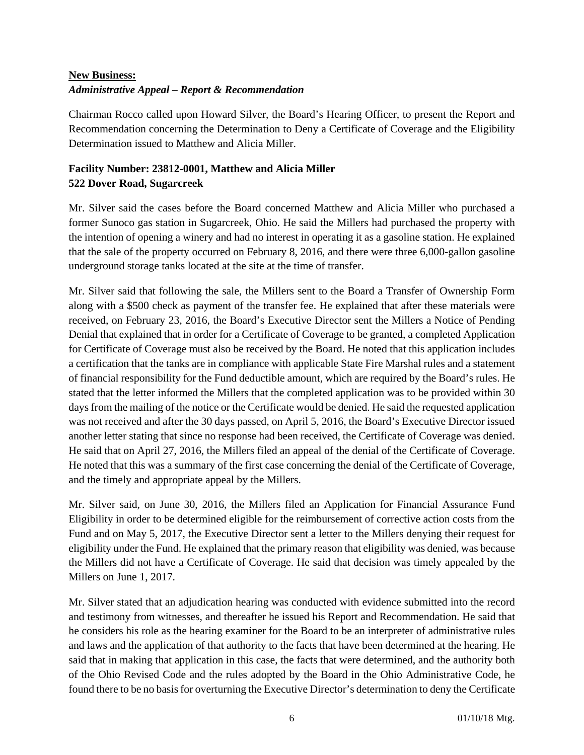# **New Business:**  *Administrative Appeal – Report & Recommendation*

Chairman Rocco called upon Howard Silver, the Board's Hearing Officer, to present the Report and Recommendation concerning the Determination to Deny a Certificate of Coverage and the Eligibility Determination issued to Matthew and Alicia Miller.

# **Facility Number: 23812-0001, Matthew and Alicia Miller 522 Dover Road, Sugarcreek**

Mr. Silver said the cases before the Board concerned Matthew and Alicia Miller who purchased a former Sunoco gas station in Sugarcreek, Ohio. He said the Millers had purchased the property with the intention of opening a winery and had no interest in operating it as a gasoline station. He explained that the sale of the property occurred on February 8, 2016, and there were three 6,000-gallon gasoline underground storage tanks located at the site at the time of transfer.

Mr. Silver said that following the sale, the Millers sent to the Board a Transfer of Ownership Form along with a \$500 check as payment of the transfer fee. He explained that after these materials were received, on February 23, 2016, the Board's Executive Director sent the Millers a Notice of Pending Denial that explained that in order for a Certificate of Coverage to be granted, a completed Application for Certificate of Coverage must also be received by the Board. He noted that this application includes a certification that the tanks are in compliance with applicable State Fire Marshal rules and a statement of financial responsibility for the Fund deductible amount, which are required by the Board's rules. He stated that the letter informed the Millers that the completed application was to be provided within 30 days from the mailing of the notice or the Certificate would be denied. He said the requested application was not received and after the 30 days passed, on April 5, 2016, the Board's Executive Director issued another letter stating that since no response had been received, the Certificate of Coverage was denied. He said that on April 27, 2016, the Millers filed an appeal of the denial of the Certificate of Coverage. He noted that this was a summary of the first case concerning the denial of the Certificate of Coverage, and the timely and appropriate appeal by the Millers.

Mr. Silver said, on June 30, 2016, the Millers filed an Application for Financial Assurance Fund Eligibility in order to be determined eligible for the reimbursement of corrective action costs from the Fund and on May 5, 2017, the Executive Director sent a letter to the Millers denying their request for eligibility under the Fund. He explained that the primary reason that eligibility was denied, was because the Millers did not have a Certificate of Coverage. He said that decision was timely appealed by the Millers on June 1, 2017.

Mr. Silver stated that an adjudication hearing was conducted with evidence submitted into the record and testimony from witnesses, and thereafter he issued his Report and Recommendation. He said that he considers his role as the hearing examiner for the Board to be an interpreter of administrative rules and laws and the application of that authority to the facts that have been determined at the hearing. He said that in making that application in this case, the facts that were determined, and the authority both of the Ohio Revised Code and the rules adopted by the Board in the Ohio Administrative Code, he found there to be no basis for overturning the Executive Director's determination to deny the Certificate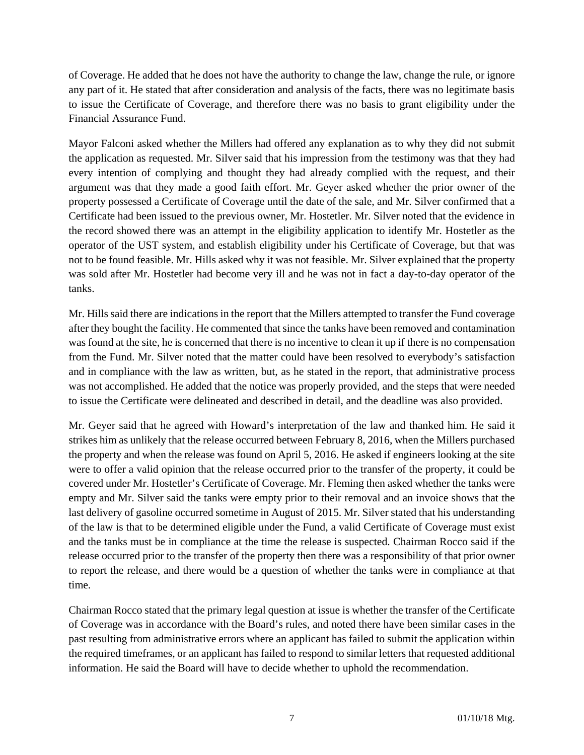of Coverage. He added that he does not have the authority to change the law, change the rule, or ignore any part of it. He stated that after consideration and analysis of the facts, there was no legitimate basis to issue the Certificate of Coverage, and therefore there was no basis to grant eligibility under the Financial Assurance Fund.

Mayor Falconi asked whether the Millers had offered any explanation as to why they did not submit the application as requested. Mr. Silver said that his impression from the testimony was that they had every intention of complying and thought they had already complied with the request, and their argument was that they made a good faith effort. Mr. Geyer asked whether the prior owner of the property possessed a Certificate of Coverage until the date of the sale, and Mr. Silver confirmed that a Certificate had been issued to the previous owner, Mr. Hostetler. Mr. Silver noted that the evidence in the record showed there was an attempt in the eligibility application to identify Mr. Hostetler as the operator of the UST system, and establish eligibility under his Certificate of Coverage, but that was not to be found feasible. Mr. Hills asked why it was not feasible. Mr. Silver explained that the property was sold after Mr. Hostetler had become very ill and he was not in fact a day-to-day operator of the tanks.

Mr. Hills said there are indications in the report that the Millers attempted to transfer the Fund coverage after they bought the facility. He commented that since the tanks have been removed and contamination was found at the site, he is concerned that there is no incentive to clean it up if there is no compensation from the Fund. Mr. Silver noted that the matter could have been resolved to everybody's satisfaction and in compliance with the law as written, but, as he stated in the report, that administrative process was not accomplished. He added that the notice was properly provided, and the steps that were needed to issue the Certificate were delineated and described in detail, and the deadline was also provided.

Mr. Geyer said that he agreed with Howard's interpretation of the law and thanked him. He said it strikes him as unlikely that the release occurred between February 8, 2016, when the Millers purchased the property and when the release was found on April 5, 2016. He asked if engineers looking at the site were to offer a valid opinion that the release occurred prior to the transfer of the property, it could be covered under Mr. Hostetler's Certificate of Coverage. Mr. Fleming then asked whether the tanks were empty and Mr. Silver said the tanks were empty prior to their removal and an invoice shows that the last delivery of gasoline occurred sometime in August of 2015. Mr. Silver stated that his understanding of the law is that to be determined eligible under the Fund, a valid Certificate of Coverage must exist and the tanks must be in compliance at the time the release is suspected. Chairman Rocco said if the release occurred prior to the transfer of the property then there was a responsibility of that prior owner to report the release, and there would be a question of whether the tanks were in compliance at that time.

Chairman Rocco stated that the primary legal question at issue is whether the transfer of the Certificate of Coverage was in accordance with the Board's rules, and noted there have been similar cases in the past resulting from administrative errors where an applicant has failed to submit the application within the required timeframes, or an applicant has failed to respond to similar letters that requested additional information. He said the Board will have to decide whether to uphold the recommendation.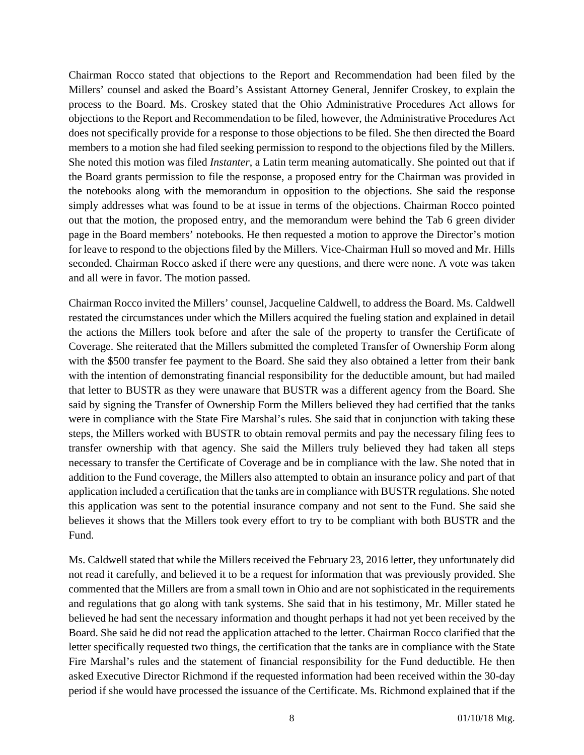Chairman Rocco stated that objections to the Report and Recommendation had been filed by the Millers' counsel and asked the Board's Assistant Attorney General, Jennifer Croskey, to explain the process to the Board. Ms. Croskey stated that the Ohio Administrative Procedures Act allows for objections to the Report and Recommendation to be filed, however, the Administrative Procedures Act does not specifically provide for a response to those objections to be filed. She then directed the Board members to a motion she had filed seeking permission to respond to the objections filed by the Millers. She noted this motion was filed *Instanter*, a Latin term meaning automatically. She pointed out that if the Board grants permission to file the response, a proposed entry for the Chairman was provided in the notebooks along with the memorandum in opposition to the objections. She said the response simply addresses what was found to be at issue in terms of the objections. Chairman Rocco pointed out that the motion, the proposed entry, and the memorandum were behind the Tab 6 green divider page in the Board members' notebooks. He then requested a motion to approve the Director's motion for leave to respond to the objections filed by the Millers. Vice-Chairman Hull so moved and Mr. Hills seconded. Chairman Rocco asked if there were any questions, and there were none. A vote was taken and all were in favor. The motion passed.

Chairman Rocco invited the Millers' counsel, Jacqueline Caldwell, to address the Board. Ms. Caldwell restated the circumstances under which the Millers acquired the fueling station and explained in detail the actions the Millers took before and after the sale of the property to transfer the Certificate of Coverage. She reiterated that the Millers submitted the completed Transfer of Ownership Form along with the \$500 transfer fee payment to the Board. She said they also obtained a letter from their bank with the intention of demonstrating financial responsibility for the deductible amount, but had mailed that letter to BUSTR as they were unaware that BUSTR was a different agency from the Board. She said by signing the Transfer of Ownership Form the Millers believed they had certified that the tanks were in compliance with the State Fire Marshal's rules. She said that in conjunction with taking these steps, the Millers worked with BUSTR to obtain removal permits and pay the necessary filing fees to transfer ownership with that agency. She said the Millers truly believed they had taken all steps necessary to transfer the Certificate of Coverage and be in compliance with the law. She noted that in addition to the Fund coverage, the Millers also attempted to obtain an insurance policy and part of that application included a certification that the tanks are in compliance with BUSTR regulations. She noted this application was sent to the potential insurance company and not sent to the Fund. She said she believes it shows that the Millers took every effort to try to be compliant with both BUSTR and the Fund.

Ms. Caldwell stated that while the Millers received the February 23, 2016 letter, they unfortunately did not read it carefully, and believed it to be a request for information that was previously provided. She commented that the Millers are from a small town in Ohio and are not sophisticated in the requirements and regulations that go along with tank systems. She said that in his testimony, Mr. Miller stated he believed he had sent the necessary information and thought perhaps it had not yet been received by the Board. She said he did not read the application attached to the letter. Chairman Rocco clarified that the letter specifically requested two things, the certification that the tanks are in compliance with the State Fire Marshal's rules and the statement of financial responsibility for the Fund deductible. He then asked Executive Director Richmond if the requested information had been received within the 30-day period if she would have processed the issuance of the Certificate. Ms. Richmond explained that if the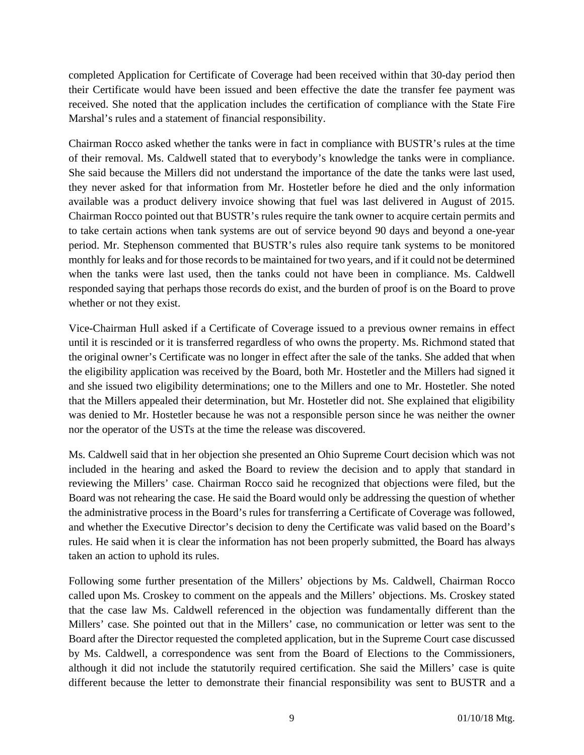completed Application for Certificate of Coverage had been received within that 30-day period then their Certificate would have been issued and been effective the date the transfer fee payment was received. She noted that the application includes the certification of compliance with the State Fire Marshal's rules and a statement of financial responsibility.

Chairman Rocco asked whether the tanks were in fact in compliance with BUSTR's rules at the time of their removal. Ms. Caldwell stated that to everybody's knowledge the tanks were in compliance. She said because the Millers did not understand the importance of the date the tanks were last used, they never asked for that information from Mr. Hostetler before he died and the only information available was a product delivery invoice showing that fuel was last delivered in August of 2015. Chairman Rocco pointed out that BUSTR's rules require the tank owner to acquire certain permits and to take certain actions when tank systems are out of service beyond 90 days and beyond a one-year period. Mr. Stephenson commented that BUSTR's rules also require tank systems to be monitored monthly for leaks and for those records to be maintained for two years, and if it could not be determined when the tanks were last used, then the tanks could not have been in compliance. Ms. Caldwell responded saying that perhaps those records do exist, and the burden of proof is on the Board to prove whether or not they exist.

Vice-Chairman Hull asked if a Certificate of Coverage issued to a previous owner remains in effect until it is rescinded or it is transferred regardless of who owns the property. Ms. Richmond stated that the original owner's Certificate was no longer in effect after the sale of the tanks. She added that when the eligibility application was received by the Board, both Mr. Hostetler and the Millers had signed it and she issued two eligibility determinations; one to the Millers and one to Mr. Hostetler. She noted that the Millers appealed their determination, but Mr. Hostetler did not. She explained that eligibility was denied to Mr. Hostetler because he was not a responsible person since he was neither the owner nor the operator of the USTs at the time the release was discovered.

Ms. Caldwell said that in her objection she presented an Ohio Supreme Court decision which was not included in the hearing and asked the Board to review the decision and to apply that standard in reviewing the Millers' case. Chairman Rocco said he recognized that objections were filed, but the Board was not rehearing the case. He said the Board would only be addressing the question of whether the administrative process in the Board's rules for transferring a Certificate of Coverage was followed, and whether the Executive Director's decision to deny the Certificate was valid based on the Board's rules. He said when it is clear the information has not been properly submitted, the Board has always taken an action to uphold its rules.

Following some further presentation of the Millers' objections by Ms. Caldwell, Chairman Rocco called upon Ms. Croskey to comment on the appeals and the Millers' objections. Ms. Croskey stated that the case law Ms. Caldwell referenced in the objection was fundamentally different than the Millers' case. She pointed out that in the Millers' case, no communication or letter was sent to the Board after the Director requested the completed application, but in the Supreme Court case discussed by Ms. Caldwell, a correspondence was sent from the Board of Elections to the Commissioners, although it did not include the statutorily required certification. She said the Millers' case is quite different because the letter to demonstrate their financial responsibility was sent to BUSTR and a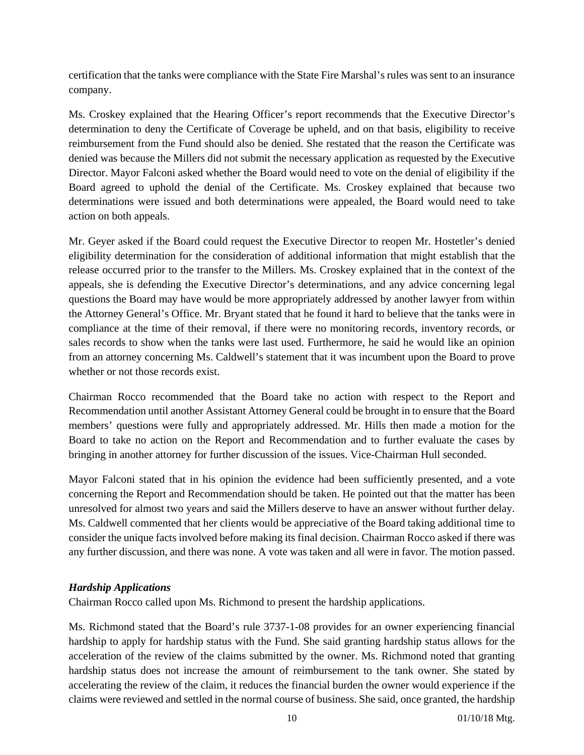certification that the tanks were compliance with the State Fire Marshal's rules was sent to an insurance company.

Ms. Croskey explained that the Hearing Officer's report recommends that the Executive Director's determination to deny the Certificate of Coverage be upheld, and on that basis, eligibility to receive reimbursement from the Fund should also be denied. She restated that the reason the Certificate was denied was because the Millers did not submit the necessary application as requested by the Executive Director. Mayor Falconi asked whether the Board would need to vote on the denial of eligibility if the Board agreed to uphold the denial of the Certificate. Ms. Croskey explained that because two determinations were issued and both determinations were appealed, the Board would need to take action on both appeals.

Mr. Geyer asked if the Board could request the Executive Director to reopen Mr. Hostetler's denied eligibility determination for the consideration of additional information that might establish that the release occurred prior to the transfer to the Millers. Ms. Croskey explained that in the context of the appeals, she is defending the Executive Director's determinations, and any advice concerning legal questions the Board may have would be more appropriately addressed by another lawyer from within the Attorney General's Office. Mr. Bryant stated that he found it hard to believe that the tanks were in compliance at the time of their removal, if there were no monitoring records, inventory records, or sales records to show when the tanks were last used. Furthermore, he said he would like an opinion from an attorney concerning Ms. Caldwell's statement that it was incumbent upon the Board to prove whether or not those records exist.

Chairman Rocco recommended that the Board take no action with respect to the Report and Recommendation until another Assistant Attorney General could be brought in to ensure that the Board members' questions were fully and appropriately addressed. Mr. Hills then made a motion for the Board to take no action on the Report and Recommendation and to further evaluate the cases by bringing in another attorney for further discussion of the issues. Vice-Chairman Hull seconded.

Mayor Falconi stated that in his opinion the evidence had been sufficiently presented, and a vote concerning the Report and Recommendation should be taken. He pointed out that the matter has been unresolved for almost two years and said the Millers deserve to have an answer without further delay. Ms. Caldwell commented that her clients would be appreciative of the Board taking additional time to consider the unique facts involved before making its final decision. Chairman Rocco asked if there was any further discussion, and there was none. A vote was taken and all were in favor. The motion passed.

#### *Hardship Applications*

Chairman Rocco called upon Ms. Richmond to present the hardship applications.

Ms. Richmond stated that the Board's rule 3737-1-08 provides for an owner experiencing financial hardship to apply for hardship status with the Fund. She said granting hardship status allows for the acceleration of the review of the claims submitted by the owner. Ms. Richmond noted that granting hardship status does not increase the amount of reimbursement to the tank owner. She stated by accelerating the review of the claim, it reduces the financial burden the owner would experience if the claims were reviewed and settled in the normal course of business. She said, once granted, the hardship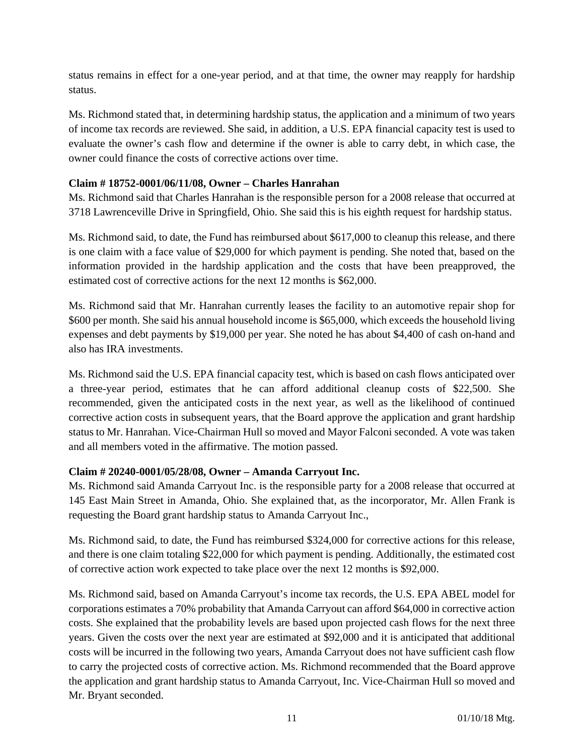status remains in effect for a one-year period, and at that time, the owner may reapply for hardship status.

Ms. Richmond stated that, in determining hardship status, the application and a minimum of two years of income tax records are reviewed. She said, in addition, a U.S. EPA financial capacity test is used to evaluate the owner's cash flow and determine if the owner is able to carry debt, in which case, the owner could finance the costs of corrective actions over time.

#### **Claim # 18752-0001/06/11/08, Owner – Charles Hanrahan**

Ms. Richmond said that Charles Hanrahan is the responsible person for a 2008 release that occurred at 3718 Lawrenceville Drive in Springfield, Ohio. She said this is his eighth request for hardship status.

Ms. Richmond said, to date, the Fund has reimbursed about \$617,000 to cleanup this release, and there is one claim with a face value of \$29,000 for which payment is pending. She noted that, based on the information provided in the hardship application and the costs that have been preapproved, the estimated cost of corrective actions for the next 12 months is \$62,000.

Ms. Richmond said that Mr. Hanrahan currently leases the facility to an automotive repair shop for \$600 per month. She said his annual household income is \$65,000, which exceeds the household living expenses and debt payments by \$19,000 per year. She noted he has about \$4,400 of cash on-hand and also has IRA investments.

Ms. Richmond said the U.S. EPA financial capacity test, which is based on cash flows anticipated over a three-year period, estimates that he can afford additional cleanup costs of \$22,500. She recommended, given the anticipated costs in the next year, as well as the likelihood of continued corrective action costs in subsequent years, that the Board approve the application and grant hardship status to Mr. Hanrahan. Vice-Chairman Hull so moved and Mayor Falconi seconded. A vote was taken and all members voted in the affirmative. The motion passed.

#### **Claim # 20240-0001/05/28/08, Owner – Amanda Carryout Inc.**

Ms. Richmond said Amanda Carryout Inc. is the responsible party for a 2008 release that occurred at 145 East Main Street in Amanda, Ohio. She explained that, as the incorporator, Mr. Allen Frank is requesting the Board grant hardship status to Amanda Carryout Inc.,

Ms. Richmond said, to date, the Fund has reimbursed \$324,000 for corrective actions for this release, and there is one claim totaling \$22,000 for which payment is pending. Additionally, the estimated cost of corrective action work expected to take place over the next 12 months is \$92,000.

Ms. Richmond said, based on Amanda Carryout's income tax records, the U.S. EPA ABEL model for corporations estimates a 70% probability that Amanda Carryout can afford \$64,000 in corrective action costs. She explained that the probability levels are based upon projected cash flows for the next three years. Given the costs over the next year are estimated at \$92,000 and it is anticipated that additional costs will be incurred in the following two years, Amanda Carryout does not have sufficient cash flow to carry the projected costs of corrective action. Ms. Richmond recommended that the Board approve the application and grant hardship status to Amanda Carryout, Inc. Vice-Chairman Hull so moved and Mr. Bryant seconded.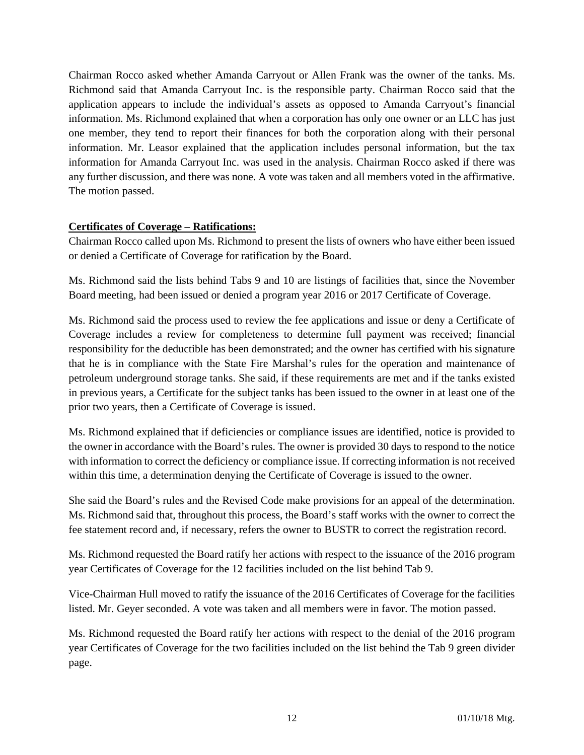Chairman Rocco asked whether Amanda Carryout or Allen Frank was the owner of the tanks. Ms. Richmond said that Amanda Carryout Inc. is the responsible party. Chairman Rocco said that the application appears to include the individual's assets as opposed to Amanda Carryout's financial information. Ms. Richmond explained that when a corporation has only one owner or an LLC has just one member, they tend to report their finances for both the corporation along with their personal information. Mr. Leasor explained that the application includes personal information, but the tax information for Amanda Carryout Inc. was used in the analysis. Chairman Rocco asked if there was any further discussion, and there was none. A vote was taken and all members voted in the affirmative. The motion passed.

#### **Certificates of Coverage – Ratifications:**

Chairman Rocco called upon Ms. Richmond to present the lists of owners who have either been issued or denied a Certificate of Coverage for ratification by the Board.

Ms. Richmond said the lists behind Tabs 9 and 10 are listings of facilities that, since the November Board meeting, had been issued or denied a program year 2016 or 2017 Certificate of Coverage.

Ms. Richmond said the process used to review the fee applications and issue or deny a Certificate of Coverage includes a review for completeness to determine full payment was received; financial responsibility for the deductible has been demonstrated; and the owner has certified with his signature that he is in compliance with the State Fire Marshal's rules for the operation and maintenance of petroleum underground storage tanks. She said, if these requirements are met and if the tanks existed in previous years, a Certificate for the subject tanks has been issued to the owner in at least one of the prior two years, then a Certificate of Coverage is issued.

Ms. Richmond explained that if deficiencies or compliance issues are identified, notice is provided to the owner in accordance with the Board's rules. The owner is provided 30 days to respond to the notice with information to correct the deficiency or compliance issue. If correcting information is not received within this time, a determination denying the Certificate of Coverage is issued to the owner.

She said the Board's rules and the Revised Code make provisions for an appeal of the determination. Ms. Richmond said that, throughout this process, the Board's staff works with the owner to correct the fee statement record and, if necessary, refers the owner to BUSTR to correct the registration record.

Ms. Richmond requested the Board ratify her actions with respect to the issuance of the 2016 program year Certificates of Coverage for the 12 facilities included on the list behind Tab 9.

Vice-Chairman Hull moved to ratify the issuance of the 2016 Certificates of Coverage for the facilities listed. Mr. Geyer seconded. A vote was taken and all members were in favor. The motion passed.

Ms. Richmond requested the Board ratify her actions with respect to the denial of the 2016 program year Certificates of Coverage for the two facilities included on the list behind the Tab 9 green divider page.